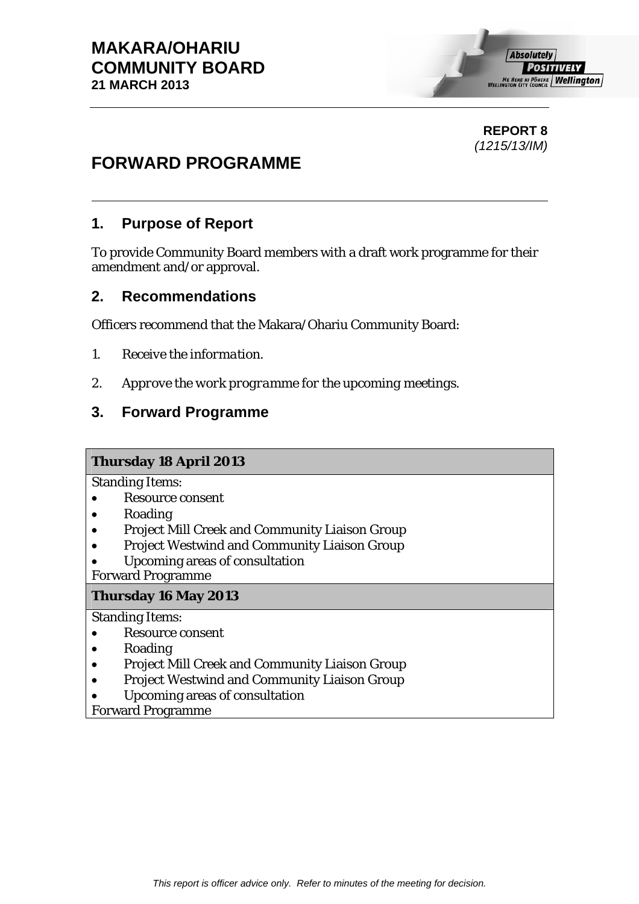#### **REPORT 8**  *(1215/13/IM)*

# **FORWARD PROGRAMME**

# **1. Purpose of Report**

To provide Community Board members with a draft work programme for their amendment and/or approval.

### **2. Recommendations**

Officers recommend that the Makara/Ohariu Community Board:

- *1. Receive the information.*
- *2. Approve the work programme for the upcoming meetings.*

## **3. Forward Programme**

#### **Thursday 18 April 2013**

Standing Items:

- Resource consent
- Roading
- Project Mill Creek and Community Liaison Group
- Project Westwind and Community Liaison Group
- Upcoming areas of consultation

Forward Programme

#### **Thursday 16 May 2013**

Standing Items:

- Resource consent
- Roading
- Project Mill Creek and Community Liaison Group
- Project Westwind and Community Liaison Group
- Upcoming areas of consultation

Forward Programme